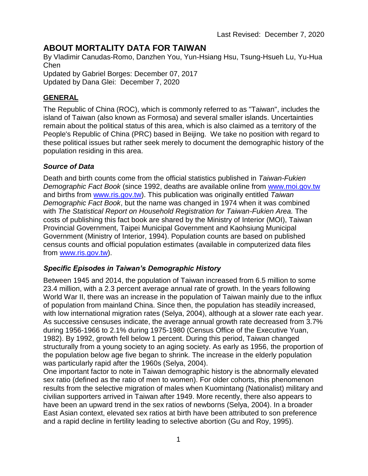# **ABOUT MORTALITY DATA FOR TAIWAN**

By Vladimir Canudas-Romo, Danzhen You, Yun-Hsiang Hsu, Tsung-Hsueh Lu, Yu-Hua Chen

Updated by Gabriel Borges: December 07, 2017 Updated by Dana Glei: December 7, 2020

## **GENERAL**

The Republic of China (ROC), which is commonly referred to as "Taiwan", includes the island of Taiwan (also known as Formosa) and several smaller islands. Uncertainties remain about the political status of this area, which is also claimed as a territory of the People's Republic of China (PRC) based in Beijing. We take no position with regard to these political issues but rather seek merely to document the demographic history of the population residing in this area.

## *Source of Data*

Death and birth counts come from the official statistics published in *Taiwan-Fukien Demographic Fact Book* (since 1992, deaths are available online from [www.moi.gov.tw](http://www.moi.gov.tw/) and births from [www.ris.gov.tw\)](http://www.ris.gov.tw/). This publication was originally entitled *Taiwan Demographic Fact Book*, but the name was changed in 1974 when it was combined with *The Statistical Report on Household Registration for Taiwan-Fukien Area.* The costs of publishing this fact book are shared by the Ministry of Interior (MOI), Taiwan Provincial Government, Taipei Municipal Government and Kaohsiung Municipal Government (Ministry of Interior, 1994). Population counts are based on published census counts and official population estimates (available in computerized data files from [www.ris.gov.tw\)](http://www.ris.gov.tw/).

## *Specific Episodes in Taiwan's Demographic History*

Between 1945 and 2014, the population of Taiwan increased from 6.5 million to some 23.4 million, with a 2.3 percent average annual rate of growth. In the years following World War II, there was an increase in the population of Taiwan mainly due to the influx of population from mainland China. Since then, the population has steadily increased, with low international migration rates (Selya, 2004), although at a slower rate each year. As successive censuses indicate, the average annual growth rate decreased from 3.7% during 1956-1966 to 2.1% during 1975-1980 (Census Office of the Executive Yuan, 1982). By 1992, growth fell below 1 percent. During this period, Taiwan changed structurally from a young society to an aging society. As early as 1956, the proportion of the population below age five began to shrink. The increase in the elderly population was particularly rapid after the 1960s (Selya, 2004).

One important factor to note in Taiwan demographic history is the abnormally elevated sex ratio (defined as the ratio of men to women). For older cohorts, this phenomenon results from the selective migration of males when Kuomintang (Nationalist) military and civilian supporters arrived in Taiwan after 1949. More recently, there also appears to have been an upward trend in the sex ratios of newborns (Selya, 2004). In a broader East Asian context, elevated sex ratios at birth have been attributed to son preference and a rapid decline in fertility leading to selective abortion (Gu and Roy, 1995).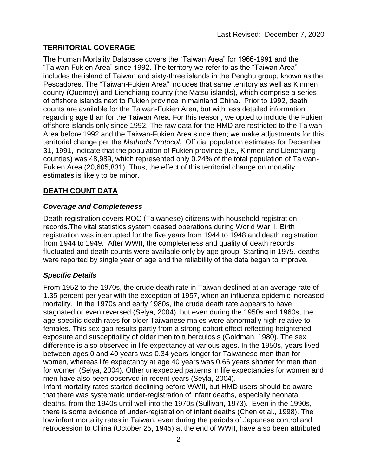# **TERRITORIAL COVERAGE**

The Human Mortality Database covers the "Taiwan Area" for 1966-1991 and the "Taiwan-Fukien Area" since 1992. The territory we refer to as the "Taiwan Area" includes the island of Taiwan and sixty-three islands in the Penghu group, known as the Pescadores. The "Taiwan-Fukien Area" includes that same territory as well as Kinmen county (Quemoy) and Lienchiang county (the Matsu islands), which comprise a series of offshore islands next to Fukien province in mainland China. Prior to 1992, death counts are available for the Taiwan-Fukien Area, but with less detailed information regarding age than for the Taiwan Area. For this reason, we opted to include the Fukien offshore islands only since 1992. The raw data for the HMD are restricted to the Taiwan Area before 1992 and the Taiwan-Fukien Area since then; we make adjustments for this territorial change per the *Methods Protocol*. Official population estimates for December 31, 1991, indicate that the population of Fukien province (i.e., Kinmen and Lienchiang counties) was 48,989, which represented only 0.24% of the total population of Taiwan-Fukien Area (20,605,831). Thus, the effect of this territorial change on mortality estimates is likely to be minor.

# **DEATH COUNT DATA**

## *Coverage and Completeness*

Death registration covers ROC (Taiwanese) citizens with household registration records.The vital statistics system ceased operations during World War II. Birth registration was interrupted for the five years from 1944 to 1948 and death registration from 1944 to 1949. After WWII, the completeness and quality of death records fluctuated and death counts were available only by age group. Starting in 1975, deaths were reported by single year of age and the reliability of the data began to improve.

## *Specific Details*

From 1952 to the 1970s, the crude death rate in Taiwan declined at an average rate of 1.35 percent per year with the exception of 1957, when an influenza epidemic increased mortality. In the 1970s and early 1980s, the crude death rate appears to have stagnated or even reversed (Selya, 2004), but even during the 1950s and 1960s, the age-specific death rates for older Taiwanese males were abnormally high relative to females. This sex gap results partly from a strong cohort effect reflecting heightened exposure and susceptibility of older men to tuberculosis (Goldman, 1980). The sex difference is also observed in life expectancy at various ages. In the 1950s, years lived between ages 0 and 40 years was 0.34 years longer for Taiwanese men than for women, whereas life expectancy at age 40 years was 0.66 years shorter for men than for women (Selya, 2004). Other unexpected patterns in life expectancies for women and men have also been observed in recent years (Seyla, 2004).

Infant mortality rates started declining before WWII, but HMD users should be aware that there was systematic under-registration of infant deaths, especially neonatal deaths, from the 1940s until well into the 1970s (Sullivan, 1973). Even in the 1990s, there is some evidence of under-registration of infant deaths (Chen et al., 1998). The low infant mortality rates in Taiwan, even during the periods of Japanese control and retrocession to China (October 25, 1945) at the end of WWII, have also been attributed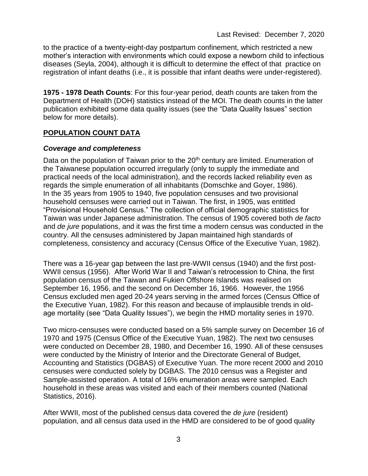to the practice of a twenty-eight-day postpartum confinement, which restricted a new mother's interaction with environments which could expose a newborn child to infectious diseases (Seyla, 2004), although it is difficult to determine the effect of that practice on registration of infant deaths (i.e., it is possible that infant deaths were under-registered).

**1975 - 1978 Death Counts**: For this four-year period, death counts are taken from the Department of Health (DOH) statistics instead of the MOI. The death counts in the latter publication exhibited some data quality issues (see the "Data Quality Issues" section below for more details).

# **POPULATION COUNT DATA**

## *Coverage and completeness*

Data on the population of Taiwan prior to the 20<sup>th</sup> century are limited. Enumeration of the Taiwanese population occurred irregularly (only to supply the immediate and practical needs of the local administration), and the records lacked reliability even as regards the simple enumeration of all inhabitants (Domschke and Goyer, 1986). In the 35 years from 1905 to 1940, five population censuses and two provisional household censuses were carried out in Taiwan. The first, in 1905, was entitled "Provisional Household Census." The collection of official demographic statistics for Taiwan was under Japanese administration. The census of 1905 covered both *de facto* and *de jure* populations, and it was the first time a modern census was conducted in the country. All the censuses administered by Japan maintained high standards of completeness, consistency and accuracy (Census Office of the Executive Yuan, 1982).

There was a 16-year gap between the last pre-WWII census (1940) and the first post-WWII census (1956). After World War II and Taiwan's retrocession to China, the first population census of the Taiwan and Fukien Offshore Islands was realised on September 16, 1956, and the second on December 16, 1966. However, the 1956 Census excluded men aged 20-24 years serving in the armed forces (Census Office of the Executive Yuan, 1982). For this reason and because of implausible trends in oldage mortality (see "Data Quality Issues"), we begin the HMD mortality series in 1970.

Two micro-censuses were conducted based on a 5% sample survey on December 16 of 1970 and 1975 (Census Office of the Executive Yuan, 1982). The next two censuses were conducted on December 28, 1980, and December 16, 1990. All of these censuses were conducted by the Ministry of Interior and the Directorate General of Budget, Accounting and Statistics (DGBAS) of Executive Yuan. The more recent 2000 and 2010 censuses were conducted solely by DGBAS. The 2010 census was a Register and Sample-assisted operation. A total of 16% enumeration areas were sampled. Each household in these areas was visited and each of their members counted (National Statistics, 2016).

After WWII, most of the published census data covered the *de jure* (resident) population, and all census data used in the HMD are considered to be of good quality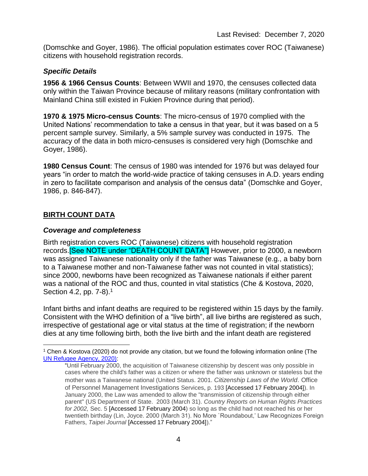(Domschke and Goyer, 1986). The official population estimates cover ROC (Taiwanese) citizens with household registration records.

## *Specific Details*

**1956 & 1966 Census Counts**: Between WWII and 1970, the censuses collected data only within the Taiwan Province because of military reasons (military confrontation with Mainland China still existed in Fukien Province during that period).

**1970 & 1975 Micro-census Counts**: The micro-census of 1970 complied with the United Nations' recommendation to take a census in that year, but it was based on a 5 percent sample survey. Similarly, a 5% sample survey was conducted in 1975. The accuracy of the data in both micro-censuses is considered very high (Domschke and Goyer, 1986).

**1980 Census Count**: The census of 1980 was intended for 1976 but was delayed four years "in order to match the world-wide practice of taking censuses in A.D. years ending in zero to facilitate comparison and analysis of the census data" (Domschke and Goyer, 1986, p. 846-847).

## **BIRTH COUNT DATA**

 $\overline{a}$ 

## *Coverage and completeness*

Birth registration covers ROC (Taiwanese) citizens with household registration records.[See NOTE under "DEATH COUNT DATA"] However, prior to 2000, a newborn was assigned Taiwanese nationality only if the father was Taiwanese (e.g., a baby born to a Taiwanese mother and non-Taiwanese father was not counted in vital statistics); since 2000, newborns have been recognized as Taiwanese nationals if either parent was a national of the ROC and thus, counted in vital statistics (Che & Kostova, 2020, Section 4.2, pp. 7-8).<sup>1</sup>

Infant births and infant deaths are required to be registered within 15 days by the family. Consistent with the WHO definition of a "live birth", all live births are registered as such, irrespective of gestational age or vital status at the time of registration; if the newborn dies at any time following birth, both the live birth and the infant death are registered

<sup>1</sup> Chen & Kostova (2020) do not provide any citation, but we found the following information online (The UN Refugee Agency, 2020):

<sup>&</sup>quot;Until February 2000, the acquisition of Taiwanese citizenship by descent was only possible in cases where the child's father was a citizen or where the father was unknown or stateless but the mother was a Taiwanese national (United Status. 2001. *Citizenship Laws of the World*. Office of Personnel Management Investigations Services, p. 193 [Accessed 17 February 2004]). In January 2000, the Law was amended to allow the "transmission of citizenship through either parent" (US Department of State. 2003 (March 31). *Country Reports on Human Rights Practices for 2002,* Sec. 5 [Accessed 17 February 2004) so long as the child had not reached his or her twentieth birthday (Lin, Joyce. 2000 (March 31). No More `Roundabout,' Law Recognizes Foreign Fathers, *Taipei Journal* [Accessed 17 February 2004])."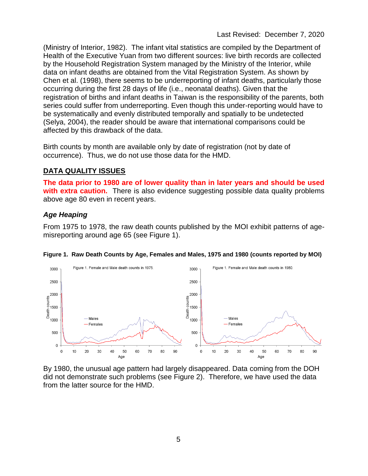(Ministry of Interior, 1982). The infant vital statistics are compiled by the Department of Health of the Executive Yuan from two different sources: live birth records are collected by the Household Registration System managed by the Ministry of the Interior, while data on infant deaths are obtained from the Vital Registration System. As shown by Chen et al. (1998), there seems to be underreporting of infant deaths, particularly those occurring during the first 28 days of life (i.e., neonatal deaths). Given that the registration of births and infant deaths in Taiwan is the responsibility of the parents, both series could suffer from underreporting. Even though this under-reporting would have to be systematically and evenly distributed temporally and spatially to be undetected (Selya, 2004), the reader should be aware that international comparisons could be affected by this drawback of the data.

Birth counts by month are available only by date of registration (not by date of occurrence). Thus, we do not use those data for the HMD.

# **DATA QUALITY ISSUES**

**The data prior to 1980 are of lower quality than in later years and should be used with extra caution.** There is also evidence suggesting possible data quality problems above age 80 even in recent years.

# *Age Heaping*

From 1975 to 1978, the raw death counts published by the MOI exhibit patterns of agemisreporting around age 65 (see Figure 1).



#### **Figure 1. Raw Death Counts by Age, Females and Males, 1975 and 1980 (counts reported by MOI)**

By 1980, the unusual age pattern had largely disappeared. Data coming from the DOH did not demonstrate such problems (see Figure 2). Therefore, we have used the data from the latter source for the HMD.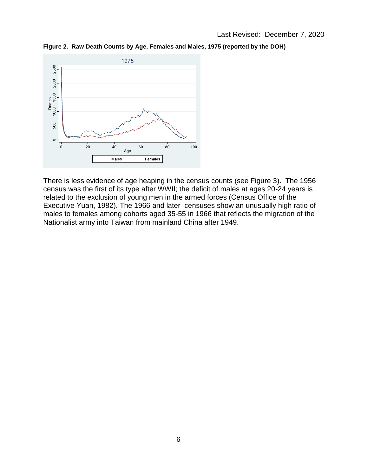**Figure 2. Raw Death Counts by Age, Females and Males, 1975 (reported by the DOH)**



There is less evidence of age heaping in the census counts (see Figure 3). The 1956 census was the first of its type after WWII; the deficit of males at ages 20-24 years is related to the exclusion of young men in the armed forces (Census Office of the Executive Yuan, 1982). The 1966 and later censuses show an unusually high ratio of males to females among cohorts aged 35-55 in 1966 that reflects the migration of the Nationalist army into Taiwan from mainland China after 1949.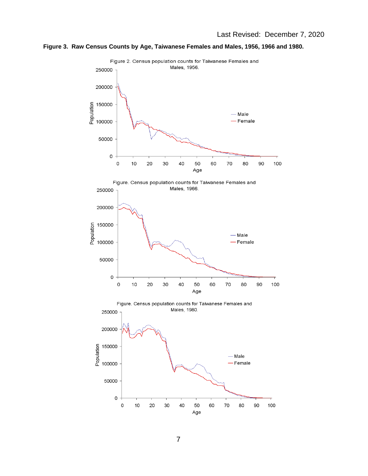

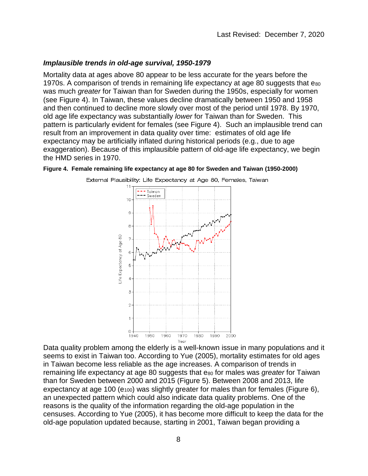### *Implausible trends in old-age survival, 1950-1979*

Mortality data at ages above 80 appear to be less accurate for the years before the 1970s. A comparison of trends in remaining life expectancy at age 80 suggests that e<sub>80</sub> was much *greater* for Taiwan than for Sweden during the 1950s, especially for women (see Figure 4). In Taiwan, these values decline dramatically between 1950 and 1958 and then continued to decline more slowly over most of the period until 1978. By 1970, old age life expectancy was substantially *lower* for Taiwan than for Sweden. This pattern is particularly evident for females (see Figure 4). Such an implausible trend can result from an improvement in data quality over time: estimates of old age life expectancy may be artificially inflated during historical periods (e.g., due to age exaggeration). Because of this implausible pattern of old-age life expectancy, we begin the HMD series in 1970.

#### **Figure 4. Female remaining life expectancy at age 80 for Sweden and Taiwan (1950-2000)**



External Plausibility: Life Expectancy at Age 80, Females, Taiwan

Data quality problem among the elderly is a well-known issue in many populations and it seems to exist in Taiwan too. According to Yue (2005), mortality estimates for old ages in Taiwan become less reliable as the age increases. A comparison of trends in remaining life expectancy at age 80 suggests that e<sub>80</sub> for males was *greater* for Taiwan than for Sweden between 2000 and 2015 (Figure 5). Between 2008 and 2013, life expectancy at age 100 ( $e_{100}$ ) was slightly greater for males than for females (Figure 6), an unexpected pattern which could also indicate data quality problems. One of the reasons is the quality of the information regarding the old-age population in the censuses. According to Yue (2005), it has become more difficult to keep the data for the old-age population updated because, starting in 2001, Taiwan began providing a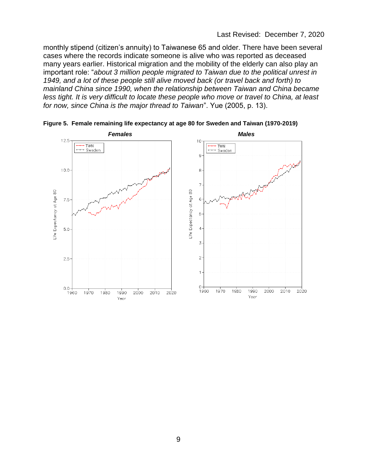monthly stipend (citizen's annuity) to Taiwanese 65 and older. There have been several cases where the records indicate someone is alive who was reported as deceased many years earlier. Historical migration and the mobility of the elderly can also play an important role: "*about 3 million people migrated to Taiwan due to the political unrest in 1949, and a lot of these people still alive moved back (or travel back and forth) to mainland China since 1990, when the relationship between Taiwan and China became less tight. It is very difficult to locate these people who move or travel to China, at least for now, since China is the major thread to Taiwan*". Yue (2005, p. 13).



**Figure 5. Female remaining life expectancy at age 80 for Sweden and Taiwan (1970-2019)**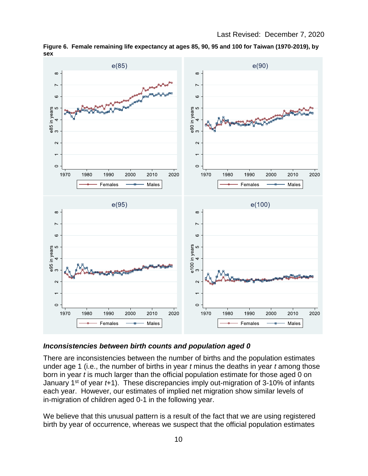

**Figure 6. Female remaining life expectancy at ages 85, 90, 95 and 100 for Taiwan (1970-2019), by sex**

#### *Inconsistencies between birth counts and population aged 0*

There are inconsistencies between the number of births and the population estimates under age 1 (i.e., the number of births in year *t* minus the deaths in year *t* among those born in year *t* is much larger than the official population estimate for those aged 0 on January 1<sup>st</sup> of year *t*+1). These discrepancies imply out-migration of 3-10% of infants each year. However, our estimates of implied net migration show similar levels of in-migration of children aged 0-1 in the following year.

We believe that this unusual pattern is a result of the fact that we are using registered birth by year of occurrence, whereas we suspect that the official population estimates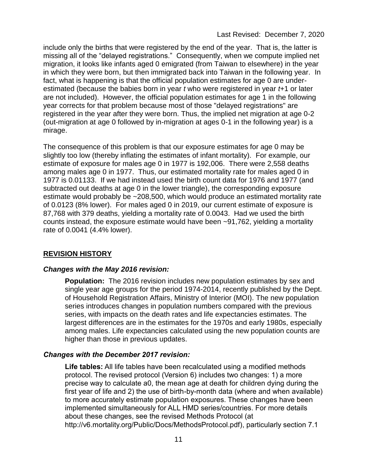include only the births that were registered by the end of the year. That is, the latter is missing all of the "delayed registrations." Consequently, when we compute implied net migration, it looks like infants aged 0 emigrated (from Taiwan to elsewhere) in the year in which they were born, but then immigrated back into Taiwan in the following year. In fact, what is happening is that the official population estimates for age 0 are underestimated (because the babies born in year *t* who were registered in year *t*+1 or later are not included). However, the official population estimates for age 1 in the following year corrects for that problem because most of those "delayed registrations" are registered in the year after they were born. Thus, the implied net migration at age 0-2 (out-migration at age 0 followed by in-migration at ages 0-1 in the following year) is a mirage.

The consequence of this problem is that our exposure estimates for age 0 may be slightly too low (thereby inflating the estimates of infant mortality). For example, our estimate of exposure for males age 0 in 1977 is 192,006. There were 2,558 deaths among males age 0 in 1977. Thus, our estimated mortality rate for males aged 0 in 1977 is 0.01133. If we had instead used the birth count data for 1976 and 1977 (and subtracted out deaths at age 0 in the lower triangle), the corresponding exposure estimate would probably be ~208,500, which would produce an estimated mortality rate of 0.0123 (8% lower). For males aged 0 in 2019, our current estimate of exposure is 87,768 with 379 deaths, yielding a mortality rate of 0.0043. Had we used the birth counts instead, the exposure estimate would have been ~91,762, yielding a mortality rate of 0.0041 (4.4% lower).

## **REVISION HISTORY**

## *Changes with the May 2016 revision:*

**Population:** The 2016 revision includes new population estimates by sex and single year age groups for the period 1974-2014, recently published by the Dept. of Household Registration Affairs, Ministry of Interior (MOI). The new population series introduces changes in population numbers compared with the previous series, with impacts on the death rates and life expectancies estimates. The largest differences are in the estimates for the 1970s and early 1980s, especially among males. Life expectancies calculated using the new population counts are higher than those in previous updates.

## *Changes with the December 2017 revision:*

**Life tables:** All life tables have been recalculated using a modified methods protocol. The revised protocol (Version 6) includes two changes: 1) a more precise way to calculate a0, the mean age at death for children dying during the first year of life and 2) the use of birth-by-month data (where and when available) to more accurately estimate population exposures. These changes have been implemented simultaneously for ALL HMD series/countries. For more details about these changes, see the revised Methods Protocol (at http://v6.mortality.org/Public/Docs/MethodsProtocol.pdf), particularly section 7.1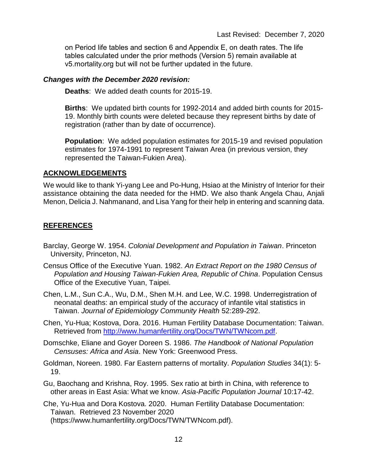on Period life tables and section 6 and Appendix E, on death rates. The life tables calculated under the prior methods (Version 5) remain available at v5.mortality.org but will not be further updated in the future.

#### *Changes with the December 2020 revision:*

**Deaths**: We added death counts for 2015-19.

**Births**: We updated birth counts for 1992-2014 and added birth counts for 2015- 19. Monthly birth counts were deleted because they represent births by date of registration (rather than by date of occurrence).

**Population**: We added population estimates for 2015-19 and revised population estimates for 1974-1991 to represent Taiwan Area (in previous version, they represented the Taiwan-Fukien Area).

#### **ACKNOWLEDGEMENTS**

We would like to thank Yi-yang Lee and Po-Hung, Hsiao at the Ministry of Interior for their assistance obtaining the data needed for the HMD. We also thank Angela Chau, Anjali Menon, Delicia J. Nahmanand, and Lisa Yang for their help in entering and scanning data.

#### **REFERENCES**

- Barclay, George W. 1954. *Colonial Development and Population in Taiwan*. Princeton University, Princeton, NJ.
- Census Office of the Executive Yuan. 1982. *An Extract Report on the 1980 Census of Population and Housing Taiwan-Fukien Area, Republic of China*. Population Census Office of the Executive Yuan, Taipei.
- Chen, L.M., Sun C.A., Wu, D.M., Shen M.H. and Lee, W.C. 1998. Underregistration of neonatal deaths: an empirical study of the accuracy of infantile vital statistics in Taiwan. *Journal of Epidemiology Community Health* 52:289-292.
- Chen, Yu-Hua; Kostova, Dora. 2016. Human Fertility Database Documentation: Taiwan. Retrieved from [http://www.humanfertility.org/Docs/TWN/TWNcom.pdf.](http://www.humanfertility.org/Docs/TWN/TWNcom.pdf)
- Domschke, Eliane and Goyer Doreen S. 1986. *The Handbook of National Population Censuses: Africa and Asia*. New York: Greenwood Press.
- Goldman, Noreen. 1980. Far Eastern patterns of mortality. *Population Studies* 34(1): 5- 19.
- Gu, Baochang and Krishna, Roy. 1995. Sex ratio at birth in China, with reference to other areas in East Asia: What we know. *Asia-Pacific Population Journal* 10:17-42.
- Che, Yu-Hua and Dora Kostova. 2020. Human Fertility Database Documentation: Taiwan. Retrieved 23 November 2020 (https://www.humanfertility.org/Docs/TWN/TWNcom.pdf).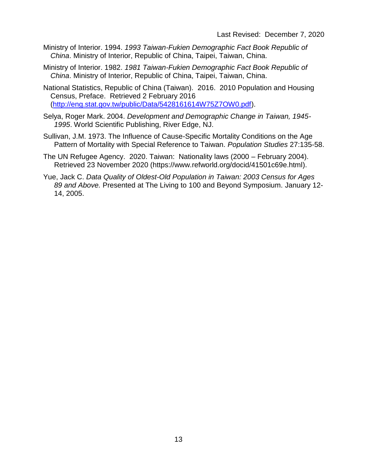- Ministry of Interior. 1994. *1993 Taiwan-Fukien Demographic Fact Book Republic of China*. Ministry of Interior, Republic of China, Taipei, Taiwan, China.
- Ministry of Interior. 1982. *1981 Taiwan-Fukien Demographic Fact Book Republic of China*. Ministry of Interior, Republic of China, Taipei, Taiwan, China.
- National Statistics, Republic of China (Taiwan). 2016. 2010 Population and Housing Census, Preface. Retrieved 2 February 2016 [\(http://eng.stat.gov.tw/public/Data/5428161614W75Z7OW0.pdf\)](http://eng.stat.gov.tw/public/Data/5428161614W75Z7OW0.pdf).
- Selya, Roger Mark. 2004. *Development and Demographic Change in Taiwan, 1945- 1995*. World Scientific Publishing, River Edge, NJ.
- Sullivan, J.M. 1973. The Influence of Cause-Specific Mortality Conditions on the Age Pattern of Mortality with Special Reference to Taiwan. *Population Studies* 27:135-58.
- The UN Refugee Agency. 2020. Taiwan: Nationality laws (2000 February 2004). Retrieved 23 November 2020 (https://www.refworld.org/docid/41501c69e.html).
- Yue, Jack C. *Data Quality of Oldest-Old Population in Taiwan: 2003 Census for Ages 89 and Above.* Presented at The Living to 100 and Beyond Symposium. January 12- 14, 2005.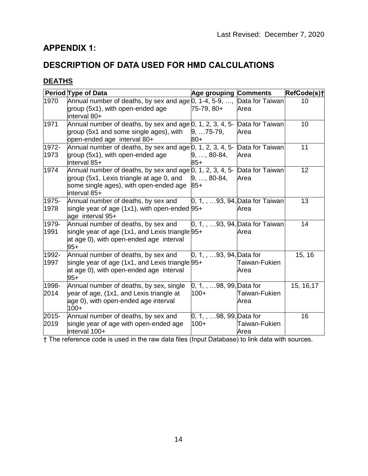# **APPENDIX 1:**

# **DESCRIPTION OF DATA USED FOR HMD CALCULATIONS**

# **DEATHS**

|               | Period Type of Data                                                                                                                                                             | <b>Age grouping Comments</b>       |                                                 | RefCode(s)+ |
|---------------|---------------------------------------------------------------------------------------------------------------------------------------------------------------------------------|------------------------------------|-------------------------------------------------|-------------|
| 1970          | Annual number of deaths, by sex and age 0, 1-4, 5-9, , Data for Taiwan<br>group (5x1), with open-ended age<br>interval 80+                                                      | $75-79, 80+$                       | Area                                            | 10          |
| 1971          | Annual number of deaths, by sex and age $0, 1, 2, 3, 4, 5$ - Data for Taiwan<br>group (5x1 and some single ages), with<br>open-ended age interval 80+                           | $9,  75-79,$<br>80+                | Area                                            | 10          |
| 1972-<br>1973 | Annual number of deaths, by sex and age 0, 1, 2, 3, 4, 5- Data for Taiwan<br>group (5x1), with open-ended age<br>interval 85+                                                   | $9, \ldots, 80-84,$<br>$85+$       | Area                                            | 11          |
| 1974          | Annual number of deaths, by sex and age 0, 1, 2, 3, 4, 5- Data for Taiwan<br>group (5x1, Lexis triangle at age 0, and<br>some single ages), with open-ended age<br>interval 85+ | $9, \ldots, 80-84,$<br>$85+$       | Area                                            | 12          |
| 1975-<br>1978 | Annual number of deaths, by sex and<br>single year of age (1x1), with open-ended 95+<br>age interval 95+                                                                        |                                    | $[0, 1, \ldots 93, 94]$ Data for Taiwan<br>Area | 13          |
| 1979-<br>1991 | Annual number of deaths, by sex and<br>single year of age (1x1, and Lexis triangle $95+$<br>at age 0), with open-ended age interval<br>$95+$                                    |                                    | $[0, 1, \ldots 93, 94]$ Data for Taiwan<br>Area | 14          |
| 1992-<br>1997 | Annual number of deaths, by sex and<br>single year of age (1x1, and Lexis triangle $95+$<br>at age 0), with open-ended age interval<br>$95+$                                    | $[0, 1, \ldots 93, 94]$ Data for   | Taiwan-Fukien<br>Area                           | 15, 16      |
| 1998-<br>2014 | Annual number of deaths, by sex, single<br>year of age, (1x1, and Lexis triangle at<br>age 0), with open-ended age interval<br>$100+$                                           | 0, 1, , 98, 99, Data for<br>$100+$ | Taiwan-Fukien<br>Area                           | 15, 16, 17  |
| 2015-<br>2019 | Annual number of deaths, by sex and<br>single year of age with open-ended age<br>interval 100+                                                                                  | 0, 1, , 98, 99, Data for<br>$100+$ | Taiwan-Fukien<br>Area                           | 16          |

† The reference code is used in the raw data files (Input Database) to link data with sources.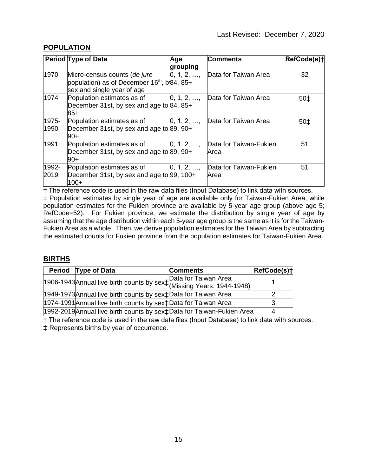## **POPULATION**

|               | <b>Period Type of Data</b>                                                                                           | Age                             | <b>Comments</b>                | RefCode(s)+ |
|---------------|----------------------------------------------------------------------------------------------------------------------|---------------------------------|--------------------------------|-------------|
|               |                                                                                                                      | grouping                        |                                |             |
| 1970          | Micro-census counts (de jure<br>population) as of December 16 <sup>th</sup> , b84, 85+<br>sex and single year of age | $0, 1, 2, \ldots$               | Data for Taiwan Area           | 32          |
| 1974          | Population estimates as of<br>December 31st, by sex and age to 84, 85+<br>$85+$                                      | $0, 1, 2, \ldots$               | Data for Taiwan Area           | 50‡         |
| 1975-<br>1990 | Population estimates as of $[0, 1, 2, \ldots]$<br>December 31st, by sex and age to 89, 90+<br>90+                    |                                 | Data for Taiwan Area           | $50+$       |
| 1991          | Population estimates as of<br>December 31st, by sex and age to 89, 90+<br>90+                                        | $\vert 0, 1, 2, \ldots \rangle$ | Data for Taiwan-Fukien<br>Area | 51          |
| 1992-<br>2019 | Population estimates as of<br>December 31st, by sex and age to 99, 100+<br>$100+$                                    | [0, 1, 2, ,                     | Data for Taiwan-Fukien<br>Area | 51          |

† The reference code is used in the raw data files (Input Database) to link data with sources. ‡ Population estimates by single year of age are available only for Taiwan-Fukien Area, while population estimates for the Fukien province are available by 5-year age group (above age 5; RefCode=52). For Fukien province, we estimate the distribution by single year of age by assuming that the age distribution within each 5-year age group is the same as it is for the Taiwan-Fukien Area as a whole. Then, we derive population estimates for the Taiwan Area by subtracting the estimated counts for Fukien province from the population estimates for Taiwan-Fukien Area.

## **BIRTHS**

|  | Period Type of Data                                                                | <b>Comments</b> | RefCode(s)+ |  |
|--|------------------------------------------------------------------------------------|-----------------|-------------|--|
|  | 1906-1943 Annual live birth counts by sex $\ddagger$ Data for Taiwan Area          |                 |             |  |
|  |                                                                                    |                 |             |  |
|  | 1949-1973 Annual live birth counts by sex <sup>†</sup> Data for Taiwan Area        |                 |             |  |
|  | 1974-1991 Annual live birth counts by sex <sup>†</sup> Data for Taiwan Area        |                 |             |  |
|  | 1992-2019 Annual live birth counts by sex <sup>†</sup> Data for Taiwan-Fukien Area |                 | 4           |  |

† The reference code is used in the raw data files (Input Database) to link data with sources.

‡ Represents births by year of occurrence.